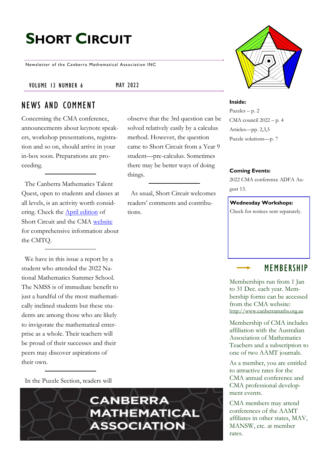# **SHORT CIRCUIT**

Newsletter of the Canberra Mathematical Association INC

#### VOLUME 13 NUMBER 6 MAY 2022

things.

### NEWS AND COMMENT

Concerning the CMA conference, announcements about keynote speakers, workshop presentations, registration and so on, should arrive in your in-box soon. Preparations are proceeding.

 The Canberra Mathematics Talent Quest, open to students and classes at all levels, is an activity worth considering. Check the [April edition](http://www.canberramaths.org.au/uploads/8/1/7/6/81763162/vol_13_no_5_2022.pdf) of Short Circuit and the CMA [website](http://www.canberramaths.org.au/) for comprehensive information about the CMTQ.

 We have in this issue a report by a student who attended the 2022 National Mathematics Summer School. The NMSS is of immediate benefit to just a handful of the most mathematically inclined students but these students are among those who are likely to invigorate the mathematical enterprise as a whole. Their teachers will be proud of their successes and their peers may discover aspirations of their own.

In the Puzzle Section, readers will

observe that the 3rd question can be solved relatively easily by a calculus method. However, the question came to Short Circuit from a Year 9 student—pre-calculus. Sometimes there may be better ways of doing

 As usual, Short Circuit welcomes readers' comments and contributions.



#### **Inside:**

Puzzles – p. 2 CMA council 2022 – p. 4 Articles—pp. 2,3,5 Puzzle solutions—p. 7

#### **Coming Events:**

2022 CMA conference ADFA August 13.

#### **Wednesday Workshops:**

Check for notices sent separately.

### MEMBERSHIP

Memberships run from 1 Jan to 31 Dec. each year. Membership forms can be accessed from the CMA website: [http://www.canberramaths.org.au](http://www.canberramaths.org.au/index.html)

Membership of CMA includes affiliation with the Australian Association of Mathematics Teachers and a subscription to one of two AAMT journals.

As a member, you are entitled to attractive rates for the CMA annual conference and CMA professional development events.

CMA members may attend conferences of the AAMT affiliates in other states, MAV, MANSW, etc. at member rates.

**CANBERRA MATHEMATICAL ASSOCIATION**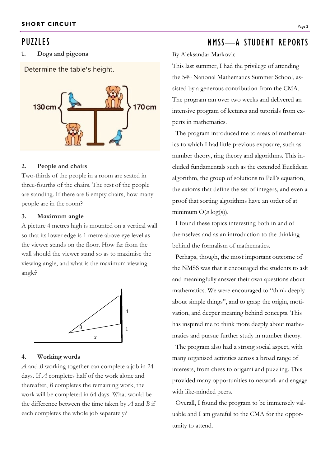### PU<sub>771</sub> FS

#### **1. Dogs and pigeons**

Determine the table's height.



#### **2. People and chairs**

Two-thirds of the people in a room are seated in three-fourths of the chairs. The rest of the people are standing. If there are 8 empty chairs, how many people are in the room?

#### **3. Maximum angle**

A picture 4 metres high is mounted on a vertical wall so that its lower edge is 1 metre above eye level as the viewer stands on the floor. How far from the wall should the viewer stand so as to maximise the viewing angle, and what is the maximum viewing angle?



#### **4. Working words**

*A* and *B* working together can complete a job in 24 days. If *A* completes half of the work alone and thereafter, *B* completes the remaining work, the work will be completed in 64 days. What would be the difference between the time taken by *A* and *B* if each completes the whole job separately?

## NMSS—A STUDENT REPORTS

#### By Aleksandar Markovic

This last summer, I had the privilege of attending the 54th National Mathematics Summer School, assisted by a generous contribution from the CMA. The program ran over two weeks and delivered an intensive program of lectures and tutorials from experts in mathematics.

 The program introduced me to areas of mathematics to which I had little previous exposure, such as number theory, ring theory and algorithms. This included fundamentals such as the extended Euclidean algorithm, the group of solutions to Pell's equation, the axioms that define the set of integers, and even a proof that sorting algorithms have an order of at minimum  $O(n \log(n))$ .

 I found these topics interesting both in and of themselves and as an introduction to the thinking behind the formalism of mathematics.

 Perhaps, though, the most important outcome of the NMSS was that it encouraged the students to ask and meaningfully answer their own questions about mathematics. We were encouraged to "think deeply about simple things", and to grasp the origin, motivation, and deeper meaning behind concepts. This has inspired me to think more deeply about mathematics and pursue further study in number theory.

 The program also had a strong social aspect, with many organised activities across a broad range of interests, from chess to origami and puzzling. This provided many opportunities to network and engage with like-minded peers.

 Overall, I found the program to be immensely valuable and I am grateful to the CMA for the opportunity to attend.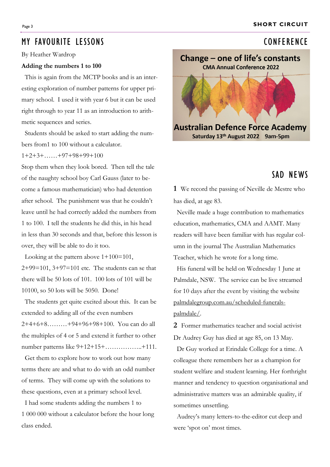#### Page 3 **SHORT CIRCUIT**

### MY FAVOURITE LESSONS CONFERENCE

By Heather Wardrop

#### **Adding the numbers 1 to 100**

 This is again from the MCTP books and is an interesting exploration of number patterns for upper primary school. I used it with year 6 but it can be used right through to year 11 as an introduction to arithmetic sequences and series.

 Students should be asked to start adding the numbers from1 to 100 without a calculator.

#### $1+2+3+\ldots+97+98+99+100$

Stop them when they look bored. Then tell the tale of the naughty school boy Carl Gauss (later to become a famous mathematician) who had detention after school. The punishment was that he couldn't leave until he had correctly added the numbers from 1 to 100. I tell the students he did this, in his head in less than 30 seconds and that, before this lesson is over, they will be able to do it too.

 Looking at the pattern above 1+100=101,  $2+99=101$ ,  $3+97=101$  etc. The students can se that there will be 50 lots of 101. 100 lots of 101 will be 10100, so 50 lots will be 5050. Done!

 The students get quite excited about this. It can be extended to adding all of the even numbers 2+4+6+8………+94+96+98+100. You can do all the multiples of 4 or 5 and extend it further to other number patterns like 9+12+15+……………..+111.

 Get them to explore how to work out how many terms there are and what to do with an odd number of terms. They will come up with the solutions to these questions, even at a primary school level.

 I had some students adding the numbers 1 to 1 000 000 without a calculator before the hour long class ended.



### SAD NEWS

**1** We record the passing of Neville de Mestre who has died, at age 83.

 Neville made a huge contribution to mathematics education, mathematics, CMA and AAMT. Many readers will have been familiar with has regular column in the journal The Australian Mathematics Teacher, which he wrote for a long time.

 His funeral will be held on Wednesday 1 June at Palmdale, NSW. The service can be live streamed for 10 days after the event by visiting the website palmdalegroup.com.au/scheduled-funeralspalmdale/.

**2** Former mathematics teacher and social activist Dr Audrey Guy has died at age 85, on 13 May.

 Dr Guy worked at Erindale College for a time. A colleague there remembers her as a champion for student welfare and student learning. Her forthright manner and tendency to question organisational and administrative matters was an admirable quality, if sometimes unsettling.

 Audrey's many letters-to-the-editor cut deep and were 'spot on' most times.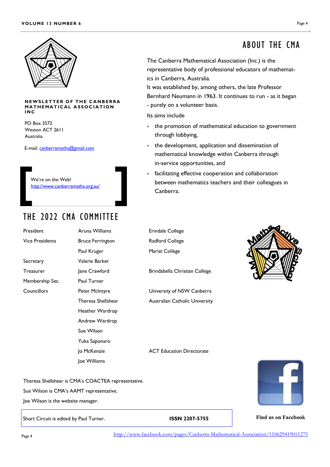

#### **NEWSLETTER OF THE CANBERRA MATHEMATICAL ASSOCIATION I N C**

PO Box 3572 Weston ACT 2611 Australia

E-mail: [canberramaths@gmail.com](http://www.canberramaths.org.au/)

We're on the Web! <http://www.canberramaths.org.au/>

### THE 2022 CMA COMMITTEE

President **Aruna Williams** Erindale College Vice Presidents **Bruce Ferrington** Radford College Secretary Valerie Barker Treasurer Jane Crawford Brindabella Christian College Membership Sec. Paul Turner Councillors Peter McIntyre University of NSW Canberra

Paul Kruger Marist College Heather Wardrop Andrew Wardrop Sue Wilson Yuka Saponaro Joe Williams

Theresa Shellshear **Australian Catholic University** 

Jo McKenzie ACT Education Directorate

**Find us on Facebook**

ABOUT THE CMA

The Canberra Mathematical Association (Inc.) is the representative body of professional educators of mathematics in Canberra, Australia.

It was established by, among others, the late Professor Bernhard Neumann in 1963. It continues to run - as it began - purely on a volunteer basis.

Its aims include

- the promotion of mathematical education to government through lobbying,
- the development, application and dissemination of mathematical knowledge within Canberra through in-service opportunities, and
- facilitating effective cooperation and collaboration between mathematics teachers and their colleagues in Canberra.

Sue Wilson is CMA's AAMT representative.

Theresa Shellshear is CMA's COACTEA representative.

Joe Wilson is the website manager.

Short Circuit is edited by Paul Turner. **ISSN 2207-5755**

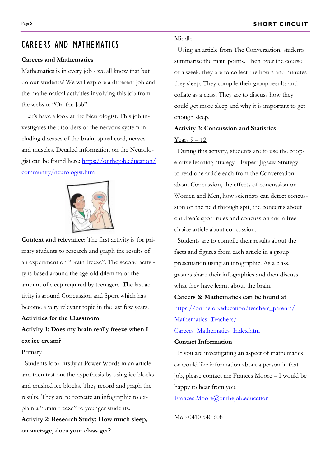### CAREERS AND MATHEMATICS

#### **Careers and Mathematics**

Mathematics is in every job - we all know that but do our students? We will explore a different job and the mathematical activities involving this job from the website "On the Job".

 Let's have a look at the Neurologist. This job investigates the disorders of the nervous system including diseases of the brain, spinal cord, nerves and muscles. Detailed information on the Neurologist can be found here: [https://onthejob.education/](https://onthejob.education/community/neurologist.htm) [community/neurologist.htm](https://onthejob.education/community/neurologist.htm)



**Context and relevance**: The first activity is for primary students to research and graph the results of an experiment on "brain freeze". The second activity is based around the age-old dilemma of the amount of sleep required by teenagers. The last activity is around Concussion and Sport which has become a very relevant topic in the last few years.

### **Activities for the Classroom:**

### **Activity 1: Does my brain really freeze when I eat ice cream?**

#### Primary

 Students look firstly at Power Words in an article and then test out the hypothesis by using ice blocks and crushed ice blocks. They record and graph the results. They are to recreate an infographic to explain a "brain freeze" to younger students.

**Activity 2: Research Study: How much sleep, on average, does your class get?**

#### Middle

 Using an article from The Conversation, students summarise the main points. Then over the course of a week, they are to collect the hours and minutes they sleep. They compile their group results and collate as a class. They are to discuss how they could get more sleep and why it is important to get enough sleep.

### **Activity 3: Concussion and Statistics** Years  $9-12$

 During this activity, students are to use the cooperative learning strategy - Expert Jigsaw Strategy – to read one article each from the Conversation about Concussion, the effects of concussion on Women and Men, how scientists can detect concussion on the field through spit, the concerns about children's sport rules and concussion and a free choice article about concussion.

 Students are to compile their results about the facts and figures from each article in a group presentation using an infographic. As a class, groups share their infographics and then discuss what they have learnt about the brain.

## **Careers & Mathematics can be found at**

[https://onthejob.education/teachers\\_parents/](https://onthejob.education/teachers_parents/Mathematics_Teachers/Careers_Mathematics_Index.htm) Mathematics Teachers/

#### [Careers\\_Mathematics\\_Index.htm](https://onthejob.education/teachers_parents/Mathematics_Teachers/Careers_Mathematics_Index.htm)

#### **Contact Information**

 If you are investigating an aspect of mathematics or would like information about a person in that job, please contact me Frances Moore – I would be happy to hear from you.

[Frances.Moore@onthejob.education](mailto:Frances.Moore@onthejob.education)

Mob 0410 540 608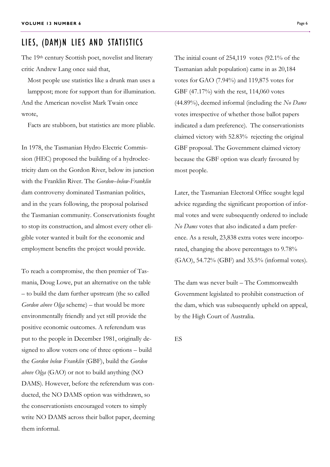### LIES, (DAM)N LIES AND STATISTICS

The 19th century Scottish poet, novelist and literary critic Andrew Lang once said that,

Most people use statistics like a drunk man uses a lamppost; more for support than for illumination. And the American novelist Mark Twain once wrote,

Facts are stubborn, but statistics are more pliable.

In 1978, the Tasmanian Hydro Electric Commission (HEC) proposed the building of a hydroelectricity dam on the Gordon River, below its junction with the Franklin River. The *Gordon–below-Franklin* dam controversy dominated Tasmanian politics, and in the years following, the proposal polarised the Tasmanian community. Conservationists fought to stop its construction, and almost every other eligible voter wanted it built for the economic and employment benefits the project would provide.

To reach a compromise, the then premier of Tasmania, Doug Lowe, put an alternative on the table – to build the dam further upstream (the so called *Gordon above Olga* scheme) – that would be more environmentally friendly and yet still provide the positive economic outcomes. A referendum was put to the people in December 1981, originally designed to allow voters one of three options – build the *Gordon below Franklin* (GBF), build the *Gordon above Olga* (GAO) or not to build anything (NO DAMS). However, before the referendum was conducted, the NO DAMS option was withdrawn, so the conservationists encouraged voters to simply write NO DAMS across their ballot paper, deeming them informal.

The initial count of 254,119 votes (92.1% of the Tasmanian adult population) came in as 20,184 votes for GAO (7.94%) and 119,875 votes for GBF (47.17%) with the rest, 114,060 votes (44.89%), deemed informal (including the *No Dams* votes irrespective of whether those ballot papers indicated a dam preference). The conservationists claimed victory with 52.83% rejecting the original GBF proposal. The Government claimed victory because the GBF option was clearly favoured by most people.

Later, the Tasmanian Electoral Office sought legal advice regarding the significant proportion of informal votes and were subsequently ordered to include *No Dams* votes that also indicated a dam preference. As a result, 23,838 extra votes were incorporated, changing the above percentages to 9.78% (GAO), 54.72% (GBF) and 35.5% (informal votes).

The dam was never built – The Commonwealth Government legislated to prohibit construction of the dam, which was subsequently upheld on appeal, by the High Court of Australia.

ES